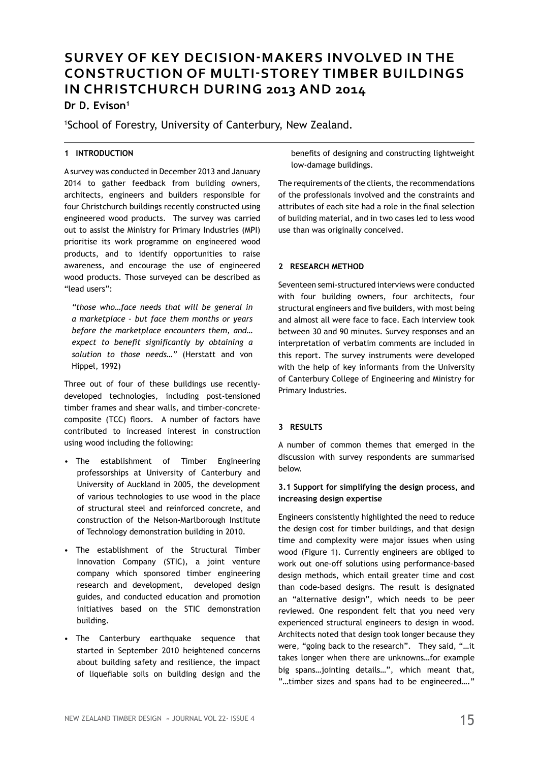# **SURVEY OF KEY DECISION-MAKERS INVOLVED IN THE CONSTRUCTION OF MULTI-STOREY TIMBER BUILDINGS IN CHRISTCHURCH DURING 2013 AND 2014**

## **Dr D. Evison1**

1 School of Forestry, University of Canterbury, New Zealand.

## **1 INTRODUCTION**

A survey was conducted in December 2013 and January 2014 to gather feedback from building owners, architects, engineers and builders responsible for four Christchurch buildings recently constructed using engineered wood products. The survey was carried out to assist the Ministry for Primary Industries (MPI) prioritise its work programme on engineered wood products, and to identify opportunities to raise awareness, and encourage the use of engineered wood products. Those surveyed can be described as "lead users":

*"those who…face needs that will be general in a marketplace – but face them months or years before the marketplace encounters them, and… expect to benefit significantly by obtaining a solution to those needs…"* (Herstatt and von Hippel, 1992)

Three out of four of these buildings use recentlydeveloped technologies, including post-tensioned timber frames and shear walls, and timber-concretecomposite (TCC) floors. A number of factors have contributed to increased interest in construction using wood including the following:

- The establishment of Timber Engineering professorships at University of Canterbury and University of Auckland in 2005, the development of various technologies to use wood in the place of structural steel and reinforced concrete, and construction of the Nelson-Marlborough Institute of Technology demonstration building in 2010.
- The establishment of the Structural Timber Innovation Company (STIC), a joint venture company which sponsored timber engineering research and development, developed design guides, and conducted education and promotion initiatives based on the STIC demonstration building.
- The Canterbury earthquake sequence that started in September 2010 heightened concerns about building safety and resilience, the impact of liquefiable soils on building design and the

benefits of designing and constructing lightweight low-damage buildings.

The requirements of the clients, the recommendations of the professionals involved and the constraints and attributes of each site had a role in the final selection of building material, and in two cases led to less wood use than was originally conceived.

## **2 RESEARCH METHOD**

Seventeen semi-structured interviews were conducted with four building owners, four architects, four structural engineers and five builders, with most being and almost all were face to face. Each interview took between 30 and 90 minutes. Survey responses and an interpretation of verbatim comments are included in this report. The survey instruments were developed with the help of key informants from the University of Canterbury College of Engineering and Ministry for Primary Industries.

## **3 RESULTS**

A number of common themes that emerged in the discussion with survey respondents are summarised below.

## **3.1 Support for simplifying the design process, and increasing design expertise**

Engineers consistently highlighted the need to reduce the design cost for timber buildings, and that design time and complexity were major issues when using wood (Figure 1). Currently engineers are obliged to work out one-off solutions using performance-based design methods, which entail greater time and cost than code-based designs. The result is designated an "alternative design", which needs to be peer reviewed. One respondent felt that you need very experienced structural engineers to design in wood. Architects noted that design took longer because they were, "going back to the research". They said, "…it takes longer when there are unknowns…for example big spans…jointing details…", which meant that, "…timber sizes and spans had to be engineered…."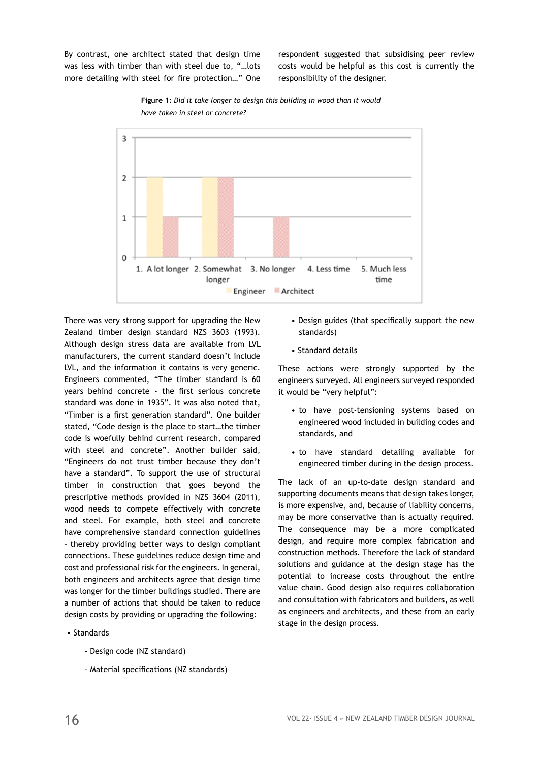By contrast, one architect stated that design time was less with timber than with steel due to, "…lots more detailing with steel for fire protection…" One respondent suggested that subsidising peer review costs would be helpful as this cost is currently the responsibility of the designer.





There was very strong support for upgrading the New Zealand timber design standard NZS 3603 (1993). Although design stress data are available from LVL manufacturers, the current standard doesn't include LVL, and the information it contains is very generic. Engineers commented, "The timber standard is 60 years behind concrete - the first serious concrete standard was done in 1935". It was also noted that, "Timber is a first generation standard". One builder stated, "Code design is the place to start…the timber code is woefully behind current research, compared with steel and concrete". Another builder said, "Engineers do not trust timber because they don't have a standard". To support the use of structural timber in construction that goes beyond the prescriptive methods provided in NZS 3604 (2011), wood needs to compete effectively with concrete and steel. For example, both steel and concrete have comprehensive standard connection guidelines – thereby providing better ways to design compliant connections. These guidelines reduce design time and cost and professional risk for the engineers. In general, both engineers and architects agree that design time was longer for the timber buildings studied. There are a number of actions that should be taken to reduce design costs by providing or upgrading the following:

- Standards
	- Design code (NZ standard)
	- Material specifications (NZ standards)
- Design guides (that specifically support the new standards)
- Standard details

These actions were strongly supported by the engineers surveyed. All engineers surveyed responded it would be "very helpful":

- to have post-tensioning systems based on engineered wood included in building codes and standards, and
- to have standard detailing available for engineered timber during in the design process.

The lack of an up-to-date design standard and supporting documents means that design takes longer, is more expensive, and, because of liability concerns, may be more conservative than is actually required. The consequence may be a more complicated design, and require more complex fabrication and construction methods. Therefore the lack of standard solutions and guidance at the design stage has the potential to increase costs throughout the entire value chain. Good design also requires collaboration and consultation with fabricators and builders, as well as engineers and architects, and these from an early stage in the design process.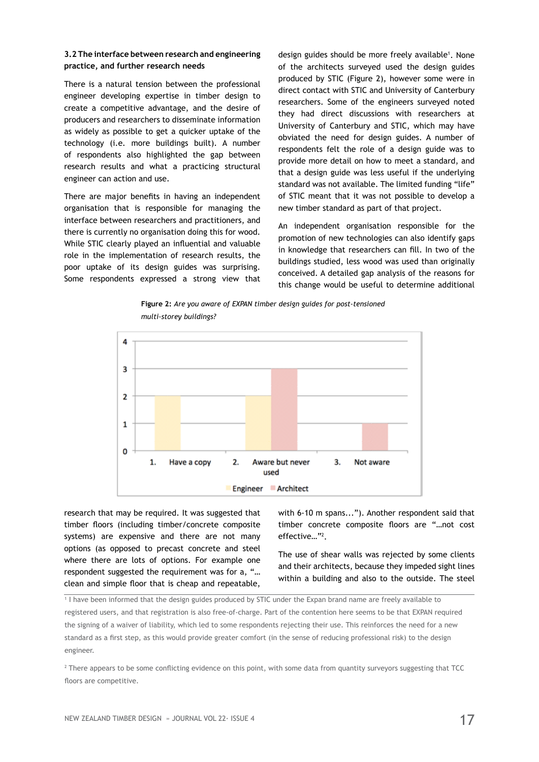## **3.2 The interface between research and engineering practice, and further research needs**

There is a natural tension between the professional engineer developing expertise in timber design to create a competitive advantage, and the desire of producers and researchers to disseminate information as widely as possible to get a quicker uptake of the technology (i.e. more buildings built). A number of respondents also highlighted the gap between research results and what a practicing structural engineer can action and use.

There are major benefits in having an independent organisation that is responsible for managing the interface between researchers and practitioners, and there is currently no organisation doing this for wood. While STIC clearly played an influential and valuable role in the implementation of research results, the poor uptake of its design guides was surprising. Some respondents expressed a strong view that

design guides should be more freely available<sup>1</sup>. None of the architects surveyed used the design guides produced by STIC (Figure 2), however some were in direct contact with STIC and University of Canterbury researchers. Some of the engineers surveyed noted they had direct discussions with researchers at University of Canterbury and STIC, which may have obviated the need for design guides. A number of respondents felt the role of a design guide was to provide more detail on how to meet a standard, and that a design guide was less useful if the underlying standard was not available. The limited funding "life" of STIC meant that it was not possible to develop a new timber standard as part of that project.

An independent organisation responsible for the promotion of new technologies can also identify gaps in knowledge that researchers can fill. In two of the buildings studied, less wood was used than originally conceived. A detailed gap analysis of the reasons for this change would be useful to determine additional



**Figure 2:** *Are you aware of EXPAN timber design guides for post-tensioned multi-storey buildings?*

research that may be required. It was suggested that timber floors (including timber/concrete composite systems) are expensive and there are not many options (as opposed to precast concrete and steel where there are lots of options. For example one respondent suggested the requirement was for a, "… clean and simple floor that is cheap and repeatable,

with 6-10 m spans..."). Another respondent said that timber concrete composite floors are "…not cost effective…"2 .

The use of shear walls was rejected by some clients and their architects, because they impeded sight lines within a building and also to the outside. The steel

1 I have been informed that the design guides produced by STIC under the Expan brand name are freely available to registered users, and that registration is also free-of-charge. Part of the contention here seems to be that EXPAN required the signing of a waiver of liability, which led to some respondents rejecting their use. This reinforces the need for a new standard as a first step, as this would provide greater comfort (in the sense of reducing professional risk) to the design engineer.

2 There appears to be some conflicting evidence on this point, with some data from quantity surveyors suggesting that TCC floors are competitive.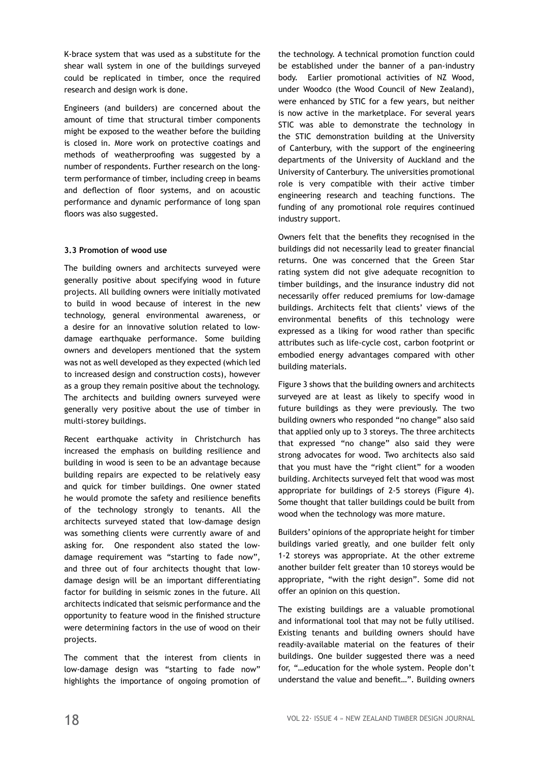K-brace system that was used as a substitute for the shear wall system in one of the buildings surveyed could be replicated in timber, once the required research and design work is done.

Engineers (and builders) are concerned about the amount of time that structural timber components might be exposed to the weather before the building is closed in. More work on protective coatings and methods of weatherproofing was suggested by a number of respondents. Further research on the longterm performance of timber, including creep in beams and deflection of floor systems, and on acoustic performance and dynamic performance of long span floors was also suggested.

#### **3.3 Promotion of wood use**

The building owners and architects surveyed were generally positive about specifying wood in future projects. All building owners were initially motivated to build in wood because of interest in the new technology, general environmental awareness, or a desire for an innovative solution related to lowdamage earthquake performance. Some building owners and developers mentioned that the system was not as well developed as they expected (which led to increased design and construction costs), however as a group they remain positive about the technology. The architects and building owners surveyed were generally very positive about the use of timber in multi-storey buildings.

Recent earthquake activity in Christchurch has increased the emphasis on building resilience and building in wood is seen to be an advantage because building repairs are expected to be relatively easy and quick for timber buildings. One owner stated he would promote the safety and resilience benefits of the technology strongly to tenants. All the architects surveyed stated that low-damage design was something clients were currently aware of and asking for. One respondent also stated the lowdamage requirement was "starting to fade now", and three out of four architects thought that lowdamage design will be an important differentiating factor for building in seismic zones in the future. All architects indicated that seismic performance and the opportunity to feature wood in the finished structure were determining factors in the use of wood on their projects.

The comment that the interest from clients in low-damage design was "starting to fade now" highlights the importance of ongoing promotion of the technology. A technical promotion function could be established under the banner of a pan-industry body. Earlier promotional activities of NZ Wood, under Woodco (the Wood Council of New Zealand), were enhanced by STIC for a few years, but neither is now active in the marketplace. For several years STIC was able to demonstrate the technology in the STIC demonstration building at the University of Canterbury, with the support of the engineering departments of the University of Auckland and the University of Canterbury. The universities promotional role is very compatible with their active timber engineering research and teaching functions. The funding of any promotional role requires continued industry support.

Owners felt that the benefits they recognised in the buildings did not necessarily lead to greater financial returns. One was concerned that the Green Star rating system did not give adequate recognition to timber buildings, and the insurance industry did not necessarily offer reduced premiums for low-damage buildings. Architects felt that clients' views of the environmental benefits of this technology were expressed as a liking for wood rather than specific attributes such as life-cycle cost, carbon footprint or embodied energy advantages compared with other building materials.

Figure 3 shows that the building owners and architects surveyed are at least as likely to specify wood in future buildings as they were previously. The two building owners who responded "no change" also said that applied only up to 3 storeys. The three architects that expressed "no change" also said they were strong advocates for wood. Two architects also said that you must have the "right client" for a wooden building. Architects surveyed felt that wood was most appropriate for buildings of 2-5 storeys (Figure 4). Some thought that taller buildings could be built from wood when the technology was more mature.

Builders' opinions of the appropriate height for timber buildings varied greatly, and one builder felt only 1-2 storeys was appropriate. At the other extreme another builder felt greater than 10 storeys would be appropriate, "with the right design". Some did not offer an opinion on this question.

The existing buildings are a valuable promotional and informational tool that may not be fully utilised. Existing tenants and building owners should have readily-available material on the features of their buildings. One builder suggested there was a need for, "…education for the whole system. People don't understand the value and benefit…". Building owners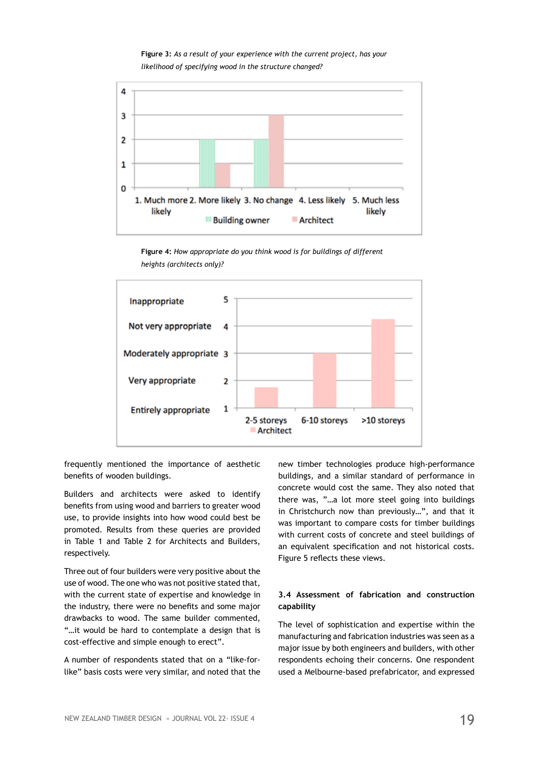**Figure 3:** *As a result of your experience with the current project, has your likelihood of specifying wood in the structure changed?*



**Figure 4:** *How appropriate do you think wood is for buildings of different heights (architects only)?*



frequently mentioned the importance of aesthetic benefits of wooden buildings.

Builders and architects were asked to identify benefits from using wood and barriers to greater wood use, to provide insights into how wood could best be promoted. Results from these queries are provided in Table 1 and Table 2 for Architects and Builders, respectively.

Three out of four builders were very positive about the use of wood. The one who was not positive stated that, with the current state of expertise and knowledge in the industry, there were no benefits and some major drawbacks to wood. The same builder commented, "…it would be hard to contemplate a design that is cost-effective and simple enough to erect".

A number of respondents stated that on a "like-forlike" basis costs were very similar, and noted that the new timber technologies produce high-performance buildings, and a similar standard of performance in concrete would cost the same. They also noted that there was, "…a lot more steel going into buildings in Christchurch now than previously…", and that it was important to compare costs for timber buildings with current costs of concrete and steel buildings of an equivalent specification and not historical costs. Figure 5 reflects these views.

## **3.4 Assessment of fabrication and construction capability**

The level of sophistication and expertise within the manufacturing and fabrication industries was seen as a major issue by both engineers and builders, with other respondents echoing their concerns. One respondent used a Melbourne-based prefabricator, and expressed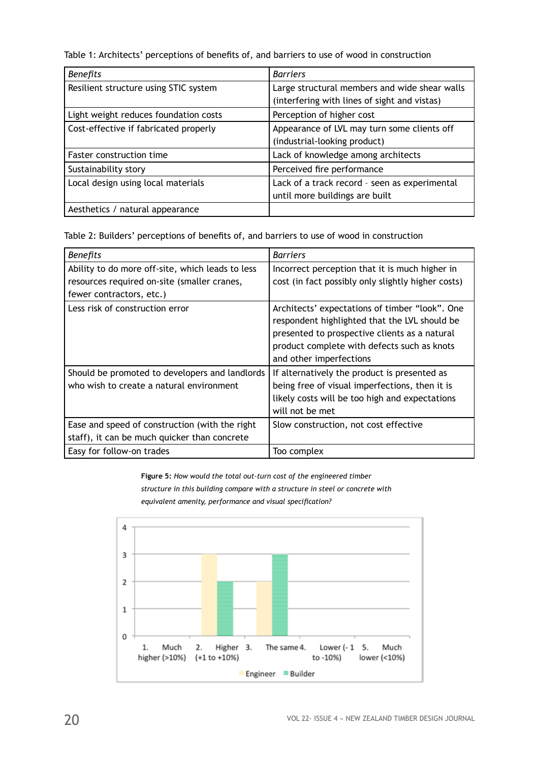Table 1: Architects' perceptions of benefits of, and barriers to use of wood in construction

| <b>Benefits</b>                       | <b>Barriers</b>                               |
|---------------------------------------|-----------------------------------------------|
| Resilient structure using STIC system | Large structural members and wide shear walls |
|                                       | (interfering with lines of sight and vistas)  |
| Light weight reduces foundation costs | Perception of higher cost                     |
| Cost-effective if fabricated properly | Appearance of LVL may turn some clients off   |
|                                       | (industrial-looking product)                  |
| <b>Faster construction time</b>       | Lack of knowledge among architects            |
| Sustainability story                  | Perceived fire performance                    |
| Local design using local materials    | Lack of a track record - seen as experimental |
|                                       | until more buildings are built                |
| Aesthetics / natural appearance       |                                               |

Table 2: Builders' perceptions of benefits of, and barriers to use of wood in construction

| <b>Benefits</b>                                  | <b>Barriers</b>                                                                                                                                                                                                            |
|--------------------------------------------------|----------------------------------------------------------------------------------------------------------------------------------------------------------------------------------------------------------------------------|
| Ability to do more off-site, which leads to less | Incorrect perception that it is much higher in                                                                                                                                                                             |
| resources required on-site (smaller cranes,      | cost (in fact possibly only slightly higher costs)                                                                                                                                                                         |
| fewer contractors, etc.)                         |                                                                                                                                                                                                                            |
| Less risk of construction error                  | Architects' expectations of timber "look". One<br>respondent highlighted that the LVL should be<br>presented to prospective clients as a natural<br>product complete with defects such as knots<br>and other imperfections |
| Should be promoted to developers and landlords   | If alternatively the product is presented as                                                                                                                                                                               |
| who wish to create a natural environment         | being free of visual imperfections, then it is                                                                                                                                                                             |
|                                                  | likely costs will be too high and expectations                                                                                                                                                                             |
|                                                  | will not be met                                                                                                                                                                                                            |
| Ease and speed of construction (with the right   | Slow construction, not cost effective                                                                                                                                                                                      |
| staff), it can be much quicker than concrete     |                                                                                                                                                                                                                            |
| Easy for follow-on trades                        | Too complex                                                                                                                                                                                                                |

**Figure 5:** *How would the total out-turn cost of the engineered timber structure in this building compare with a structure in steel or concrete with equivalent amenity, performance and visual specification?*

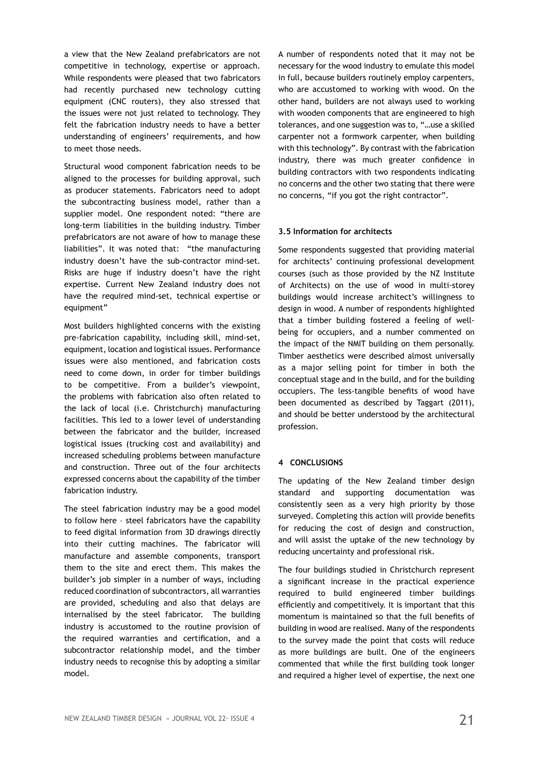a view that the New Zealand prefabricators are not competitive in technology, expertise or approach. While respondents were pleased that two fabricators had recently purchased new technology cutting equipment (CNC routers), they also stressed that the issues were not just related to technology. They felt the fabrication industry needs to have a better understanding of engineers' requirements, and how to meet those needs.

Structural wood component fabrication needs to be aligned to the processes for building approval, such as producer statements. Fabricators need to adopt the subcontracting business model, rather than a supplier model. One respondent noted: "there are long-term liabilities in the building industry. Timber prefabricators are not aware of how to manage these liabilities". It was noted that: "the manufacturing industry doesn't have the sub-contractor mind-set. Risks are huge if industry doesn't have the right expertise. Current New Zealand industry does not have the required mind-set, technical expertise or equipment"

Most builders highlighted concerns with the existing pre-fabrication capability, including skill, mind-set, equipment, location and logistical issues. Performance issues were also mentioned, and fabrication costs need to come down, in order for timber buildings to be competitive. From a builder's viewpoint, the problems with fabrication also often related to the lack of local (i.e. Christchurch) manufacturing facilities. This led to a lower level of understanding between the fabricator and the builder, increased logistical issues (trucking cost and availability) and increased scheduling problems between manufacture and construction. Three out of the four architects expressed concerns about the capability of the timber fabrication industry.

The steel fabrication industry may be a good model to follow here – steel fabricators have the capability to feed digital information from 3D drawings directly into their cutting machines. The fabricator will manufacture and assemble components, transport them to the site and erect them. This makes the builder's job simpler in a number of ways, including reduced coordination of subcontractors, all warranties are provided, scheduling and also that delays are internalised by the steel fabricator. The building industry is accustomed to the routine provision of the required warranties and certification, and a subcontractor relationship model, and the timber industry needs to recognise this by adopting a similar model.

A number of respondents noted that it may not be necessary for the wood industry to emulate this model in full, because builders routinely employ carpenters, who are accustomed to working with wood. On the other hand, builders are not always used to working with wooden components that are engineered to high tolerances, and one suggestion was to, "…use a skilled carpenter not a formwork carpenter, when building with this technology". By contrast with the fabrication industry, there was much greater confidence in building contractors with two respondents indicating no concerns and the other two stating that there were no concerns, "if you got the right contractor".

#### **3.5 Information for architects**

Some respondents suggested that providing material for architects' continuing professional development courses (such as those provided by the NZ Institute of Architects) on the use of wood in multi-storey buildings would increase architect's willingness to design in wood. A number of respondents highlighted that a timber building fostered a feeling of wellbeing for occupiers, and a number commented on the impact of the NMIT building on them personally. Timber aesthetics were described almost universally as a major selling point for timber in both the conceptual stage and in the build, and for the building occupiers. The less-tangible benefits of wood have been documented as described by Taggart (2011), and should be better understood by the architectural profession.

#### **4 CONCLUSIONS**

The updating of the New Zealand timber design standard and supporting documentation was consistently seen as a very high priority by those surveyed. Completing this action will provide benefits for reducing the cost of design and construction, and will assist the uptake of the new technology by reducing uncertainty and professional risk.

The four buildings studied in Christchurch represent a significant increase in the practical experience required to build engineered timber buildings efficiently and competitively. It is important that this momentum is maintained so that the full benefits of building in wood are realised. Many of the respondents to the survey made the point that costs will reduce as more buildings are built. One of the engineers commented that while the first building took longer and required a higher level of expertise, the next one